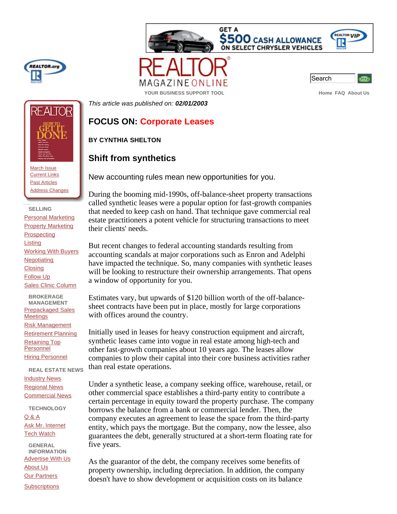





| ÷ |
|---|
|---|

**YOUR BUSINESS SUPPORT TOOL Assumed About Use of About Use About Use About Use About Use About Use About Use About Use** 

*This article was published on: 02/01/2003*

## **FOCUS ON: Corporate Leases**

## **BY CYNTHIA SHELTON**

## **Shift from synthetics**

New accounting rules mean new opportunities for you.

During the booming mid-1990s, off-balance-sheet property transactions called synthetic leases were a popular option for fast-growth companies that needed to keep cash on hand. That technique gave commercial real estate practitioners a potent vehicle for structuring transactions to meet their clients' needs.

But recent changes to federal accounting standards resulting from accounting scandals at major corporations such as Enron and Adelphi have impacted the technique. So, many companies with synthetic leases will be looking to restructure their ownership arrangements. That opens a window of opportunity for you.

Estimates vary, but upwards of \$120 billion worth of the off-balancesheet contracts have been put in place, mostly for large corporations with offices around the country.

Initially used in leases for heavy construction equipment and aircraft, synthetic leases came into vogue in real estate among high-tech and other fast-growth companies about 10 years ago. The leases allow companies to plow their capital into their core business activities rather than real estate operations.

Under a synthetic lease, a company seeking office, warehouse, retail, or other commercial space establishes a third-party entity to contribute a certain percentage in equity toward the property purchase. The company borrows the balance from a bank or commercial lender. Then, the company executes an agreement to lease the space from the third-party entity, which pays the mortgage. But the company, now the lessee, also guarantees the debt, generally structured at a short-term floating rate for five years.

As the guarantor of the debt, the company receives some benefits of property ownership, including depreciation. In addition, the company doesn't have to show development or acquisition costs on its balance



March Issue **Current Links** Past Articles Address Changes

 **SELLING** Personal Marketing Property Marketing **Prospecting** Listing Working With Buyers **Negotiating Closing** Follow Up Sales Clinic Column

**BROKERAGE MANAGEMENT**  Prepackaged Sales **Meetings** Risk Management Retirement Planning Retaining Top **Personnel Hiring Personnel** 

**REAL ESTATE NEWS** Industry News Regional News Commercial News

**TECHNOLOGY**

Q & A Ask Mr. Internet Tech Watch

**GENERAL INFORMATION** Advertise With Us About Us Our Partners

**Subscriptions**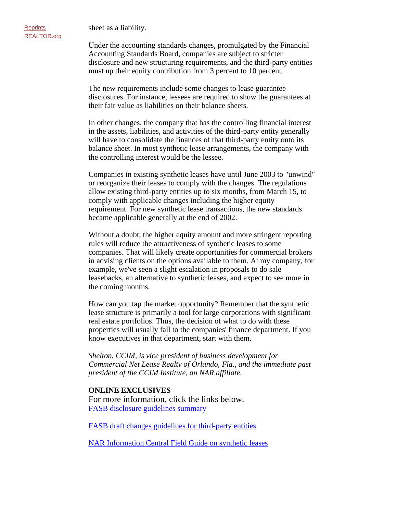sheet as a liability.

Under the accounting standards changes, promulgated by the Financial Accounting Standards Board, companies are subject to stricter disclosure and new structuring requirements, and the third-party entities must up their equity contribution from 3 percent to 10 percent.

The new requirements include some changes to lease guarantee disclosures. For instance, lessees are required to show the guarantees at their fair value as liabilities on their balance sheets.

In other changes, the company that has the controlling financial interest in the assets, liabilities, and activities of the third-party entity generally will have to consolidate the finances of that third-party entity onto its balance sheet. In most synthetic lease arrangements, the company with the controlling interest would be the lessee.

Companies in existing synthetic leases have until June 2003 to "unwind" or reorganize their leases to comply with the changes. The regulations allow existing third-party entities up to six months, from March 15, to comply with applicable changes including the higher equity requirement. For new synthetic lease transactions, the new standards became applicable generally at the end of 2002.

Without a doubt, the higher equity amount and more stringent reporting rules will reduce the attractiveness of synthetic leases to some companies. That will likely create opportunities for commercial brokers in advising clients on the options available to them. At my company, for example, we've seen a slight escalation in proposals to do sale leasebacks, an alternative to synthetic leases, and expect to see more in the coming months.

How can you tap the market opportunity? Remember that the synthetic lease structure is primarily a tool for large corporations with significant real estate portfolios. Thus, the decision of what to do with these properties will usually fall to the companies' finance department. If you know executives in that department, start with them.

*Shelton, CCIM, is vice president of business development for Commercial Net Lease Realty of Orlando, Fla., and the immediate past president of the CCIM Institute, an NAR affiliate.*

## **ONLINE EXCLUSIVES**

For more information, click the links below. FASB disclosure guidelines summary

FASB draft changes guidelines for third-party entities

NAR Information Central Field Guide on synthetic leases